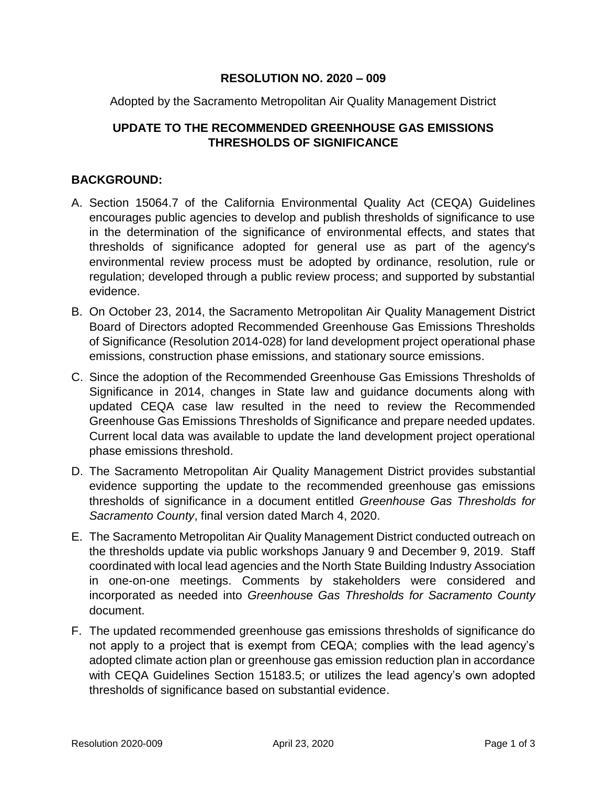## **RESOLUTION NO. 2020 – 009**

Adopted by the Sacramento Metropolitan Air Quality Management District

## **UPDATE TO THE RECOMMENDED GREENHOUSE GAS EMISSIONS THRESHOLDS OF SIGNIFICANCE**

## **BACKGROUND:**

- A. Section 15064.7 of the California Environmental Quality Act (CEQA) Guidelines encourages public agencies to develop and publish thresholds of significance to use in the determination of the significance of environmental effects, and states that thresholds of significance adopted for general use as part of the agency's environmental review process must be adopted by ordinance, resolution, rule or regulation; developed through a public review process; and supported by substantial evidence.
- B. On October 23, 2014, the Sacramento Metropolitan Air Quality Management District Board of Directors adopted Recommended Greenhouse Gas Emissions Thresholds of Significance (Resolution 2014-028) for land development project operational phase emissions, construction phase emissions, and stationary source emissions.
- C. Since the adoption of the Recommended Greenhouse Gas Emissions Thresholds of Significance in 2014, changes in State law and guidance documents along with updated CEQA case law resulted in the need to review the Recommended Greenhouse Gas Emissions Thresholds of Significance and prepare needed updates. Current local data was available to update the land development project operational phase emissions threshold.
- D. The Sacramento Metropolitan Air Quality Management District provides substantial evidence supporting the update to the recommended greenhouse gas emissions thresholds of significance in a document entitled *Greenhouse Gas Thresholds for Sacramento County*, final version dated March 4, 2020.
- E. The Sacramento Metropolitan Air Quality Management District conducted outreach on the thresholds update via public workshops January 9 and December 9, 2019. Staff coordinated with local lead agencies and the North State Building Industry Association in one-on-one meetings. Comments by stakeholders were considered and incorporated as needed into *Greenhouse Gas Thresholds for Sacramento County* document.
- F. The updated recommended greenhouse gas emissions thresholds of significance do not apply to a project that is exempt from CEQA; complies with the lead agency's adopted climate action plan or greenhouse gas emission reduction plan in accordance with CEQA Guidelines Section 15183.5; or utilizes the lead agency's own adopted thresholds of significance based on substantial evidence.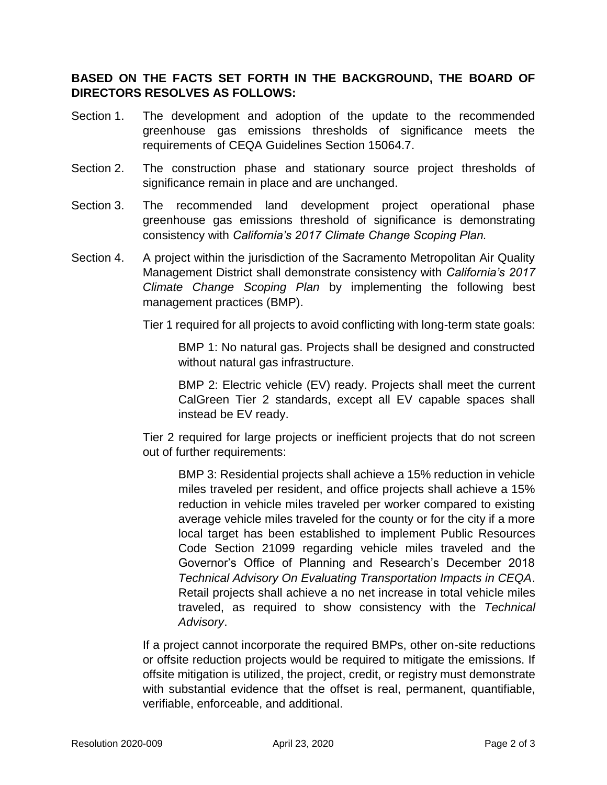## **BASED ON THE FACTS SET FORTH IN THE BACKGROUND, THE BOARD OF DIRECTORS RESOLVES AS FOLLOWS:**

- Section 1. The development and adoption of the update to the recommended greenhouse gas emissions thresholds of significance meets the requirements of CEQA Guidelines Section 15064.7.
- Section 2. The construction phase and stationary source project thresholds of significance remain in place and are unchanged.
- Section 3. The recommended land development project operational phase greenhouse gas emissions threshold of significance is demonstrating consistency with *California's 2017 Climate Change Scoping Plan.*
- Section 4. A project within the jurisdiction of the Sacramento Metropolitan Air Quality Management District shall demonstrate consistency with *California's 2017 Climate Change Scoping Plan* by implementing the following best management practices (BMP).
	- Tier 1 required for all projects to avoid conflicting with long-term state goals:

BMP 1: No natural gas. Projects shall be designed and constructed without natural gas infrastructure.

BMP 2: Electric vehicle (EV) ready. Projects shall meet the current CalGreen Tier 2 standards, except all EV capable spaces shall instead be EV ready.

Tier 2 required for large projects or inefficient projects that do not screen out of further requirements:

BMP 3: Residential projects shall achieve a 15% reduction in vehicle miles traveled per resident, and office projects shall achieve a 15% reduction in vehicle miles traveled per worker compared to existing average vehicle miles traveled for the county or for the city if a more local target has been established to implement Public Resources Code Section 21099 regarding vehicle miles traveled and the Governor's Office of Planning and Research's December 2018 *Technical Advisory On Evaluating Transportation Impacts in CEQA*. Retail projects shall achieve a no net increase in total vehicle miles traveled, as required to show consistency with the *Technical Advisory*.

If a project cannot incorporate the required BMPs, other on-site reductions or offsite reduction projects would be required to mitigate the emissions. If offsite mitigation is utilized, the project, credit, or registry must demonstrate with substantial evidence that the offset is real, permanent, quantifiable, verifiable, enforceable, and additional.